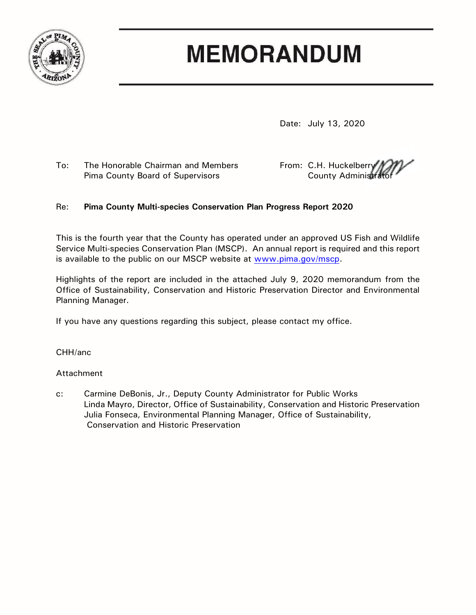

# **MEMORANDUM**

Date: July 13, 2020

To: The Honorable Chairman and Members From: C.H. Huckelberry Pima County Board of Supervisors The County Administrator County Administrator

# Re: **Pima County Multi-species Conservation Plan Progress Report 2020**

This is the fourth year that the County has operated under an approved US Fish and Wildlife Service Multi-species Conservation Plan (MSCP). An annual report is required and this report is available to the public on our MSCP website at [www.pima.gov/mscp.](http://www.pima.gov/mscp)

Highlights of the report are included in the attached July 9, 2020 memorandum from the Office of Sustainability, Conservation and Historic Preservation Director and Environmental Planning Manager.

If you have any questions regarding this subject, please contact my office.

CHH/anc

# Attachment

c: Carmine DeBonis, Jr., Deputy County Administrator for Public Works Linda Mayro, Director, Office of Sustainability, Conservation and Historic Preservation Julia Fonseca, Environmental Planning Manager, Office of Sustainability, Conservation and Historic Preservation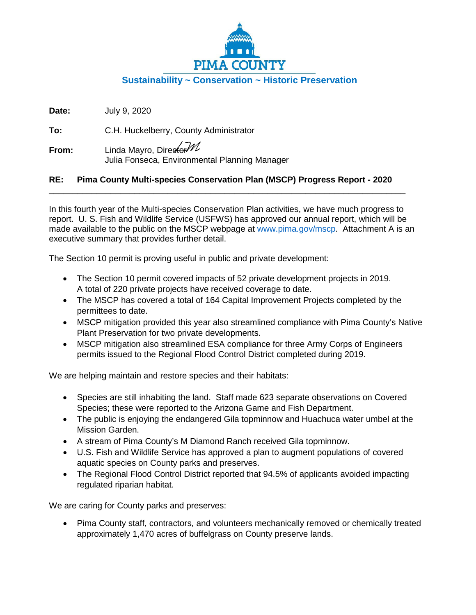

**Date:** July 9, 2020

**To:** C.H. Huckelberry, County Administrator

**From:** Linda Mayro, Director<sup>////</sup> Julia Fonseca, Environmental Planning Manager

# **RE: Pima County Multi-species Conservation Plan (MSCP) Progress Report - 2020**

\_\_\_\_\_\_\_\_\_\_\_\_\_\_\_\_\_\_\_\_\_\_\_\_\_\_\_\_\_\_\_\_\_\_\_\_\_\_\_\_\_\_\_\_\_\_\_\_\_\_\_\_\_\_\_\_\_\_\_\_\_\_\_\_\_\_\_\_\_\_\_\_\_\_\_

In this fourth year of the Multi-species Conservation Plan activities, we have much progress to report. U. S. Fish and Wildlife Service (USFWS) has approved our annual report, which will be made available to the public on the MSCP webpage at www.pima.gov/mscp. Attachment A is an executive summary that provides further detail.

The Section 10 permit is proving useful in public and private development:

- The Section 10 permit covered impacts of 52 private development projects in 2019. A total of 220 private projects have received coverage to date.
- The MSCP has covered a total of 164 Capital Improvement Projects completed by the permittees to date.
- MSCP mitigation provided this year also streamlined compliance with Pima County's Native Plant Preservation for two private developments.
- MSCP mitigation also streamlined ESA compliance for three Army Corps of Engineers permits issued to the Regional Flood Control District completed during 2019.

We are helping maintain and restore species and their habitats:

- Species are still inhabiting the land. Staff made 623 separate observations on Covered Species; these were reported to the Arizona Game and Fish Department.
- The public is enjoying the endangered Gila topminnow and Huachuca water umbel at the Mission Garden.
- A stream of Pima County's M Diamond Ranch received Gila topminnow.
- U.S. Fish and Wildlife Service has approved a plan to augment populations of covered aquatic species on County parks and preserves.
- The Regional Flood Control District reported that 94.5% of applicants avoided impacting regulated riparian habitat.

We are caring for County parks and preserves:

• Pima County staff, contractors, and volunteers mechanically removed or chemically treated approximately 1,470 acres of buffelgrass on County preserve lands.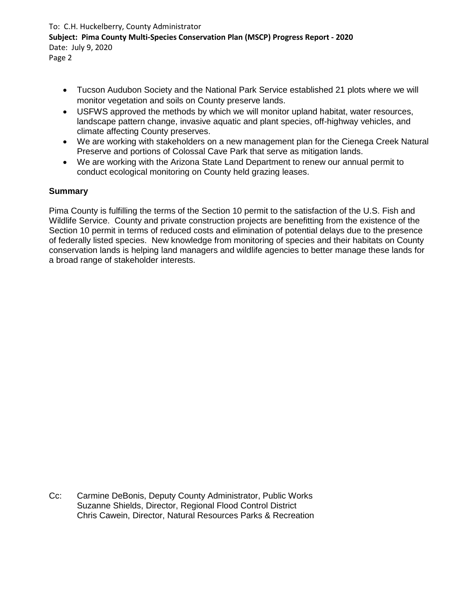# To: C.H. Huckelberry, County Administrator **Subject: Pima County Multi-Species Conservation Plan (MSCP) Progress Report - 2020** Date: July 9, 2020

Page 2

- Tucson Audubon Society and the National Park Service established 21 plots where we will monitor vegetation and soils on County preserve lands.
- USFWS approved the methods by which we will monitor upland habitat, water resources, landscape pattern change, invasive aquatic and plant species, off-highway vehicles, and climate affecting County preserves.
- We are working with stakeholders on a new management plan for the Cienega Creek Natural Preserve and portions of Colossal Cave Park that serve as mitigation lands.
- We are working with the Arizona State Land Department to renew our annual permit to conduct ecological monitoring on County held grazing leases.

# **Summary**

Pima County is fulfilling the terms of the Section 10 permit to the satisfaction of the U.S. Fish and Wildlife Service. County and private construction projects are benefitting from the existence of the Section 10 permit in terms of reduced costs and elimination of potential delays due to the presence of federally listed species. New knowledge from monitoring of species and their habitats on County conservation lands is helping land managers and wildlife agencies to better manage these lands for a broad range of stakeholder interests.

Cc: Carmine DeBonis, Deputy County Administrator, Public Works Suzanne Shields, Director, Regional Flood Control District Chris Cawein, Director, Natural Resources Parks & Recreation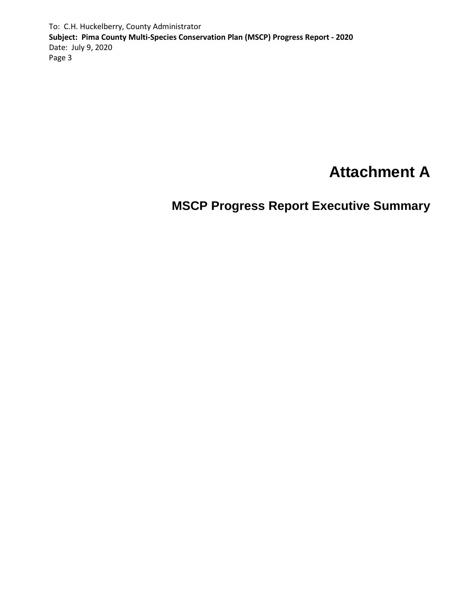To: C.H. Huckelberry, County Administrator **Subject: Pima County Multi-Species Conservation Plan (MSCP) Progress Report - 2020** Date: July 9, 2020 Page 3

# **Attachment A**

**MSCP Progress Report Executive Summary**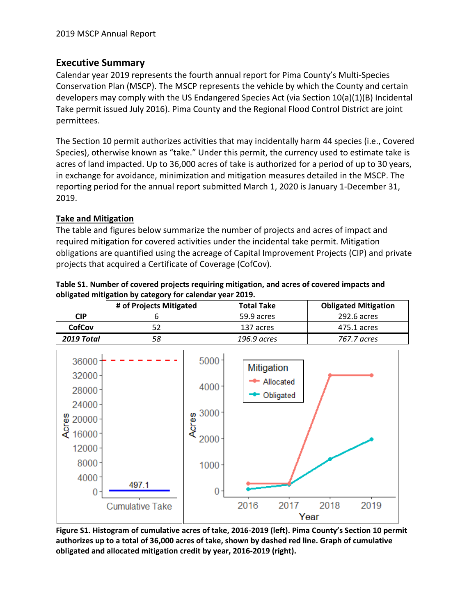# **Executive Summary**

Calendar year 2019 represents the fourth annual report for Pima County's Multi-Species Conservation Plan (MSCP). The MSCP represents the vehicle by which the County and certain developers may comply with the US Endangered Species Act (via Section 10(a)(1)(B) Incidental Take permit issued July 2016). Pima County and the Regional Flood Control District are joint permittees.

The Section 10 permit authorizes activities that may incidentally harm 44 species (i.e., Covered Species), otherwise known as "take." Under this permit, the currency used to estimate take is acres of land impacted. Up to 36,000 acres of take is authorized for a period of up to 30 years, in exchange for avoidance, minimization and mitigation measures detailed in the MSCP. The reporting period for the annual report submitted March 1, 2020 is January 1-December 31, 2019.

# **Take and Mitigation**

The table and figures below summarize the number of projects and acres of impact and required mitigation for covered activities under the incidental take permit. Mitigation obligations are quantified using the acreage of Capital Improvement Projects (CIP) and private projects that acquired a Certificate of Coverage (CofCov).

| Table S1. Number of covered projects requiring mitigation, and acres of covered impacts and |
|---------------------------------------------------------------------------------------------|
| obligated mitigation by category for calendar year 2019.                                    |

|               | # of Projects Mitigated | <b>Total Take</b> | <b>Obligated Mitigation</b> |
|---------------|-------------------------|-------------------|-----------------------------|
| <b>CIP</b>    |                         | 59.9 acres        | 292.6 acres                 |
| <b>CofCov</b> |                         | 137 acres         | 475.1 acres                 |
| 2019 Total    |                         | 196.9 acres       | 767.7 acres                 |



**authorizes up to a total of 36,000 acres of take, shown by dashed red line. Graph of cumulative obligated and allocated mitigation credit by year, 2016-2019 (right).**